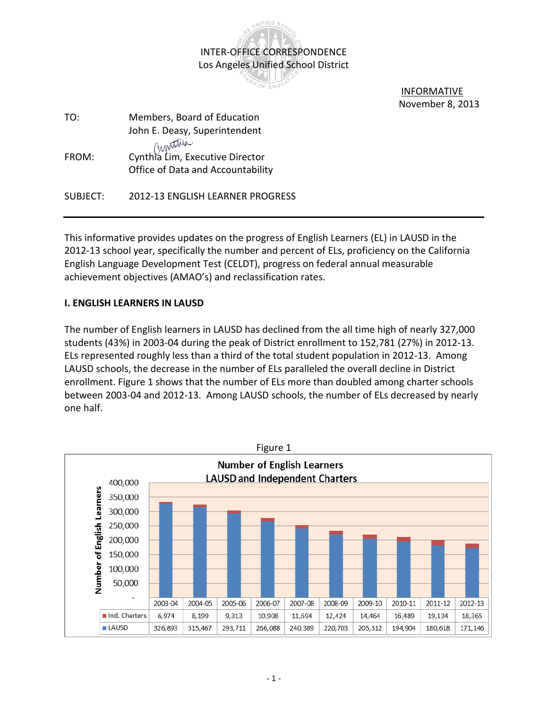

 INFORMATIVE November 8, 2013

| TO:      | Members, Board of Education                                          |
|----------|----------------------------------------------------------------------|
|          | John E. Deasy, Superintendent                                        |
| FROM:    | Cynthia Lim, Executive Director<br>Office of Data and Accountability |
| SUBJECT: | 2012-13 ENGLISH LEARNER PROGRESS                                     |

This informative provides updates on the progress of English Learners (EL) in LAUSD in the 2012-13 school year, specifically the number and percent of ELs, proficiency on the California English Language Development Test (CELDT), progress on federal annual measurable achievement objectives (AMAO's) and reclassification rates.

## **I. ENGLISH LEARNERS IN LAUSD**

The number of English learners in LAUSD has declined from the all time high of nearly 327,000 students (43%) in 2003-04 during the peak of District enrollment to 152,781 (27%) in 2012-13. ELs represented roughly less than a third of the total student population in 2012-13. Among LAUSD schools, the decrease in the number of ELs paralleled the overall decline in District enrollment. Figure 1 shows that the number of ELs more than doubled among charter schools between 2003-04 and 2012-13. Among LAUSD schools, the number of ELs decreased by nearly one half.

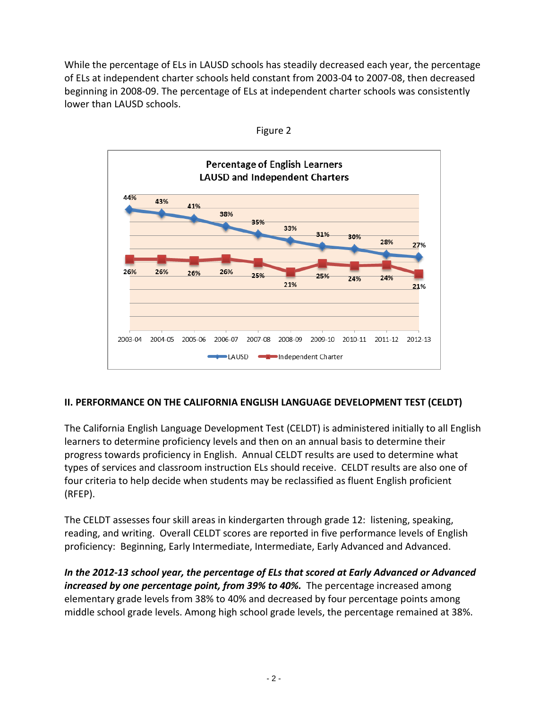While the percentage of ELs in LAUSD schools has steadily decreased each year, the percentage of ELs at independent charter schools held constant from 2003-04 to 2007-08, then decreased beginning in 2008-09. The percentage of ELs at independent charter schools was consistently lower than LAUSD schools.





# **II. PERFORMANCE ON THE CALIFORNIA ENGLISH LANGUAGE DEVELOPMENT TEST (CELDT)**

The California English Language Development Test (CELDT) is administered initially to all English learners to determine proficiency levels and then on an annual basis to determine their progress towards proficiency in English. Annual CELDT results are used to determine what types of services and classroom instruction ELs should receive. CELDT results are also one of four criteria to help decide when students may be reclassified as fluent English proficient (RFEP).

The CELDT assesses four skill areas in kindergarten through grade 12: listening, speaking, reading, and writing. Overall CELDT scores are reported in five performance levels of English proficiency: Beginning, Early Intermediate, Intermediate, Early Advanced and Advanced.

*In the 2012-13 school year, the percentage of ELs that scored at Early Advanced or Advanced increased by one percentage point, from 39% to 40%.* The percentage increased among elementary grade levels from 38% to 40% and decreased by four percentage points among middle school grade levels. Among high school grade levels, the percentage remained at 38%.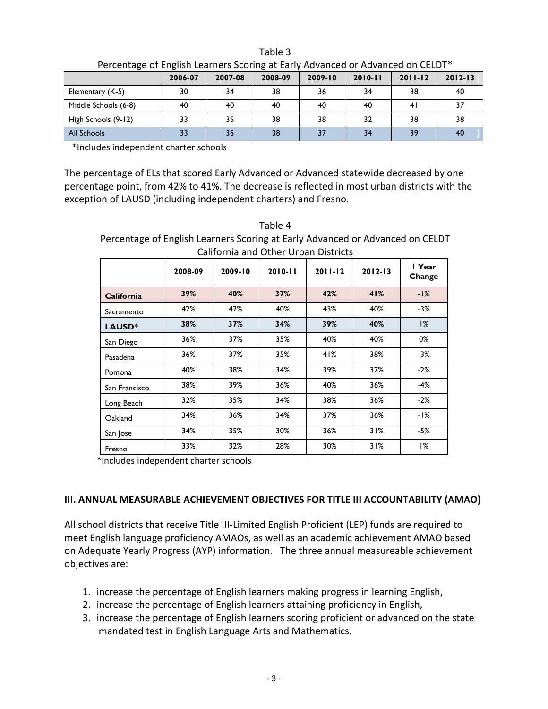| $\sim$ . The contracts of English Education and and the contract of the contracts on the ED $\sim$ |         |         |         |             |             |             |             |
|----------------------------------------------------------------------------------------------------|---------|---------|---------|-------------|-------------|-------------|-------------|
|                                                                                                    | 2006-07 | 2007-08 | 2008-09 | $2009 - 10$ | $2010 - 11$ | $2011 - 12$ | $2012 - 13$ |
| Elementary (K-5)                                                                                   | 30      | 34      | 38      | 36          | 34          | 38          | 40          |
| Middle Schools (6-8)                                                                               | 40      | 40      | 40      | 40          | 40          | 41          | 37          |
| High Schools (9-12)                                                                                | 33      | 35      | 38      | 38          | 32          | 38          | 38          |
| All Schools                                                                                        |         | 35      | 38      | 37          | 34          | 39          | 40          |

Table 3 Percentage of English Learners Scoring at Early Advanced or Advanced on CELDT\*

\*Includes independent charter schools

The percentage of ELs that scored Early Advanced or Advanced statewide decreased by one percentage point, from 42% to 41%. The decrease is reflected in most urban districts with the exception of LAUSD (including independent charters) and Fresno.

Table 4 Percentage of English Learners Scoring at Early Advanced or Advanced on CELDT California and Other Urban Districts

|               | 2008-09 | 2009-10 | $2010 - 11$ | $2011 - 12$ | $2012 - 13$ | I Year<br>Change |  |
|---------------|---------|---------|-------------|-------------|-------------|------------------|--|
| California    | 39%     | 40%     | 37%         | 42%         | 41%         | $-1%$            |  |
| Sacramento    | 42%     | 42%     | 40%         | 43%         | 40%         | $-3%$            |  |
| LAUSD*        | 38%     | 37%     | 34%         | 39%         | 40%         | 1%               |  |
| San Diego     | 36%     | 37%     | 35%         | 40%         | 40%         | 0%               |  |
| Pasadena      | 36%     | 37%     | 35%         | 41%         | 38%         | $-3%$            |  |
| Pomona        | 40%     | 38%     | 34%         | 39%         | 37%         | $-2%$            |  |
| San Francisco | 38%     | 39%     | 36%         | 40%         | 36%         | $-4%$            |  |
| Long Beach    | 32%     | 35%     | 34%         | 38%         | 36%         | $-2%$            |  |
| Oakland       | 34%     | 36%     | 34%         | 37%         | 36%         | -1%              |  |
| San Jose      | 34%     | 35%     | 30%         | 36%         | 31%         | $-5%$            |  |
| Fresno        | 33%     | 32%     | 28%         | 30%         | 31%         | 1%               |  |

\*Includes independent charter schools

## **III. ANNUAL MEASURABLE ACHIEVEMENT OBJECTIVES FOR TITLE III ACCOUNTABILITY (AMAO)**

All school districts that receive Title III-Limited English Proficient (LEP) funds are required to meet English language proficiency AMAOs, as well as an academic achievement AMAO based on Adequate Yearly Progress (AYP) information. The three annual measureable achievement objectives are:

- 1. increase the percentage of English learners making progress in learning English,
- 2. increase the percentage of English learners attaining proficiency in English,
- 3. increase the percentage of English learners scoring proficient or advanced on the state mandated test in English Language Arts and Mathematics.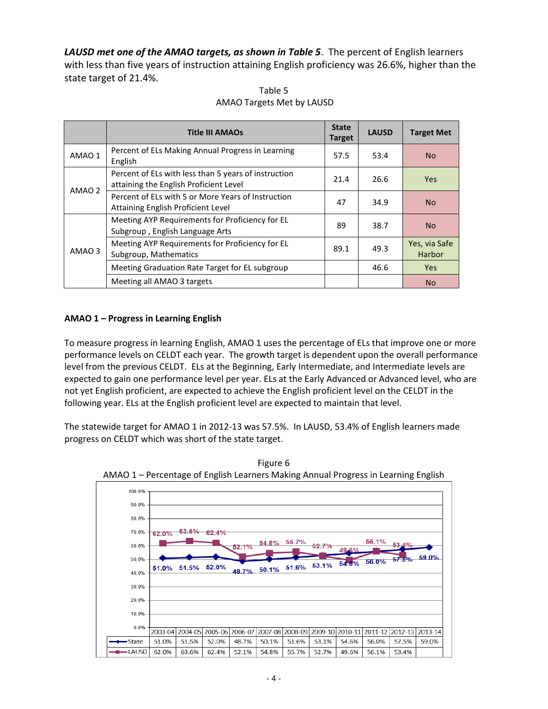*LAUSD met one of the AMAO targets, as shown in Table 5*. The percent of English learners with less than five years of instruction attaining English proficiency was 26.6%, higher than the state target of 21.4%.

|        | <b>Title III AMAOs</b>                                                                         | <b>State</b><br><b>Target</b> | <b>LAUSD</b> | <b>Target Met</b>              |
|--------|------------------------------------------------------------------------------------------------|-------------------------------|--------------|--------------------------------|
| AMAO 1 | Percent of ELs Making Annual Progress in Learning<br>English                                   | 57.5                          | 53.4         | No.                            |
| AMAO 2 | Percent of ELs with less than 5 years of instruction<br>attaining the English Proficient Level | 21.4                          | 26.6         | <b>Yes</b>                     |
|        | Percent of ELs with 5 or More Years of Instruction<br>Attaining English Proficient Level       | 47                            | 34.9         | N <sub>o</sub>                 |
| AMAO 3 | Meeting AYP Requirements for Proficiency for EL<br>Subgroup, English Language Arts             | 89                            | 38.7         | <b>No</b>                      |
|        | Meeting AYP Requirements for Proficiency for EL<br>Subgroup, Mathematics                       | 89.1                          | 49.3         | Yes, via Safe<br><b>Harbor</b> |
|        | Meeting Graduation Rate Target for EL subgroup                                                 |                               | 46.6         | Yes.                           |
|        | Meeting all AMAO 3 targets                                                                     |                               |              | No.                            |

Table 5 AMAO Targets Met by LAUSD

### **AMAO 1 – Progress in Learning English**

To measure progress in learning English, AMAO 1 uses the percentage of ELs that improve one or more performance levels on CELDT each year. The growth target is dependent upon the overall performance level from the previous CELDT. ELs at the Beginning, Early Intermediate, and Intermediate levels are expected to gain one performance level per year. ELs at the Early Advanced or Advanced level, who are not yet English proficient, are expected to achieve the English proficient level on the CELDT in the following year. ELs at the English proficient level are expected to maintain that level.

The statewide target for AMAO 1 in 2012-13 was 57.5%. In LAUSD, 53.4% of English learners made progress on CELDT which was short of the state target.



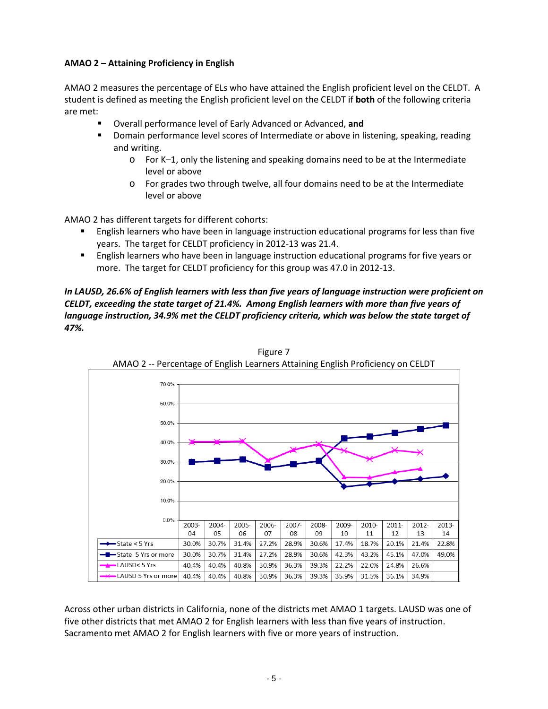### **AMAO 2 – Attaining Proficiency in English**

AMAO 2 measures the percentage of ELs who have attained the English proficient level on the CELDT. A student is defined as meeting the English proficient level on the CELDT if **both** of the following criteria are met:

- Overall performance level of Early Advanced or Advanced, **and**
- **Domain performance level scores of Intermediate or above in listening, speaking, reading** and writing.
	- o For K–1, only the listening and speaking domains need to be at the Intermediate level or above
	- o For grades two through twelve, all four domains need to be at the Intermediate level or above

AMAO 2 has different targets for different cohorts:

- English learners who have been in language instruction educational programs for less than five years. The target for CELDT proficiency in 2012-13 was 21.4.
- **English learners who have been in language instruction educational programs for five years or** more. The target for CELDT proficiency for this group was 47.0 in 2012-13.

*In LAUSD, 26.6% of English learners with less than five years of language instruction were proficient on CELDT, exceeding the state target of 21.4%. Among English learners with more than five years of language instruction, 34.9% met the CELDT proficiency criteria, which was below the state target of 47%.*



Figure 7 AMAO 2 -- Percentage of English Learners Attaining English Proficiency on CELDT

Across other urban districts in California, none of the districts met AMAO 1 targets. LAUSD was one of five other districts that met AMAO 2 for English learners with less than five years of instruction. Sacramento met AMAO 2 for English learners with five or more years of instruction.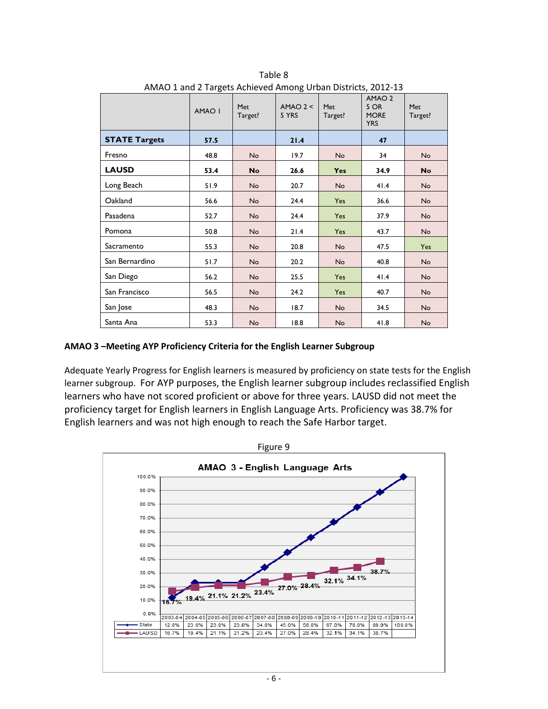|                      | AMAO I | Met<br>Target? | $AMAO$ 2 <<br>5 YRS | Met<br>Target? | AMAO <sub>2</sub><br>5 OR<br><b>MORE</b><br><b>YRS</b> | Met<br>Target? |
|----------------------|--------|----------------|---------------------|----------------|--------------------------------------------------------|----------------|
| <b>STATE Targets</b> | 57.5   |                | 21.4                |                | 47                                                     |                |
| Fresno               | 48.8   | <b>No</b>      | 19.7                | <b>No</b>      | 34                                                     | <b>No</b>      |
| <b>LAUSD</b>         | 53.4   | No             | 26.6                | <b>Yes</b>     | 34.9                                                   | <b>No</b>      |
| Long Beach           | 51.9   | <b>No</b>      | 20.7                | <b>No</b>      | 41.4                                                   | <b>No</b>      |
| Oakland              | 56.6   | <b>No</b>      | 24.4                | Yes            | 36.6                                                   | <b>No</b>      |
| Pasadena             | 52.7   | <b>No</b>      | 24.4                | Yes            | 37.9                                                   | <b>No</b>      |
| Pomona               | 50.8   | <b>No</b>      | 21.4                | Yes            | 43.7                                                   | <b>No</b>      |
| Sacramento           | 55.3   | <b>No</b>      | 20.8                | No             | 47.5                                                   | Yes            |
| San Bernardino       | 51.7   | <b>No</b>      | 20.2                | <b>No</b>      | 40.8                                                   | <b>No</b>      |
| San Diego            | 56.2   | No             | 25.5                | Yes            | 41.4                                                   | <b>No</b>      |
| San Francisco        | 56.5   | <b>No</b>      | 24.2                | Yes            | 40.7                                                   | <b>No</b>      |
| San Jose             | 48.3   | No             | 18.7                | <b>No</b>      | 34.5                                                   | <b>No</b>      |
| Santa Ana            | 53.3   | <b>No</b>      | 18.8                | No             | 41.8                                                   | <b>No</b>      |

Table 8 AMAO 1 and 2 Targets Achieved Among Urban Districts, 2012-13

#### **AMAO 3 –Meeting AYP Proficiency Criteria for the English Learner Subgroup**

Adequate Yearly Progress for English learners is measured by proficiency on state tests for the English learner subgroup. For AYP purposes, the English learner subgroup includes reclassified English learners who have not scored proficient or above for three years. LAUSD did not meet the proficiency target for English learners in English Language Arts. Proficiency was 38.7% for English learners and was not high enough to reach the Safe Harbor target.

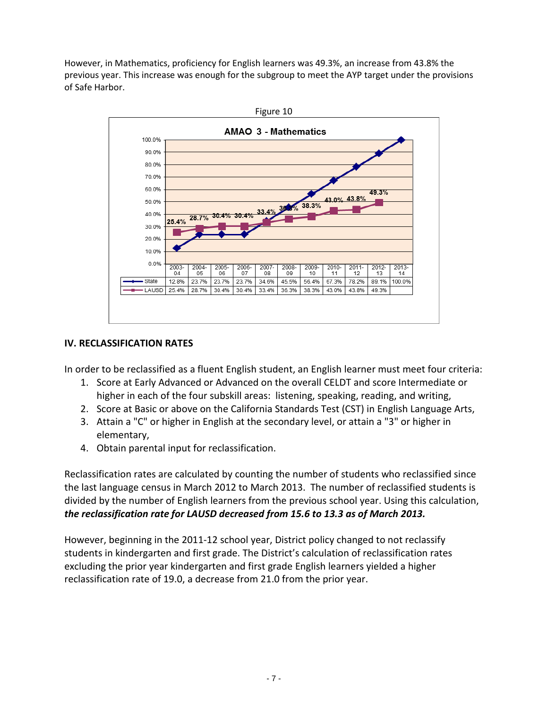However, in Mathematics, proficiency for English learners was 49.3%, an increase from 43.8% the previous year. This increase was enough for the subgroup to meet the AYP target under the provisions of Safe Harbor.



## **IV. RECLASSIFICATION RATES**

In order to be reclassified as a fluent English student, an English learner must meet four criteria:

- 1. Score at Early Advanced or Advanced on the overall CELDT and score Intermediate or higher in each of the four subskill areas: listening, speaking, reading, and writing,
- 2. Score at Basic or above on the California Standards Test (CST) in English Language Arts,
- 3. Attain a "C" or higher in English at the secondary level, or attain a "3" or higher in elementary,
- 4. Obtain parental input for reclassification.

Reclassification rates are calculated by counting the number of students who reclassified since the last language census in March 2012 to March 2013. The number of reclassified students is divided by the number of English learners from the previous school year. Using this calculation, *the reclassification rate for LAUSD decreased from 15.6 to 13.3 as of March 2013.*

However, beginning in the 2011-12 school year, District policy changed to not reclassify students in kindergarten and first grade. The District's calculation of reclassification rates excluding the prior year kindergarten and first grade English learners yielded a higher reclassification rate of 19.0, a decrease from 21.0 from the prior year.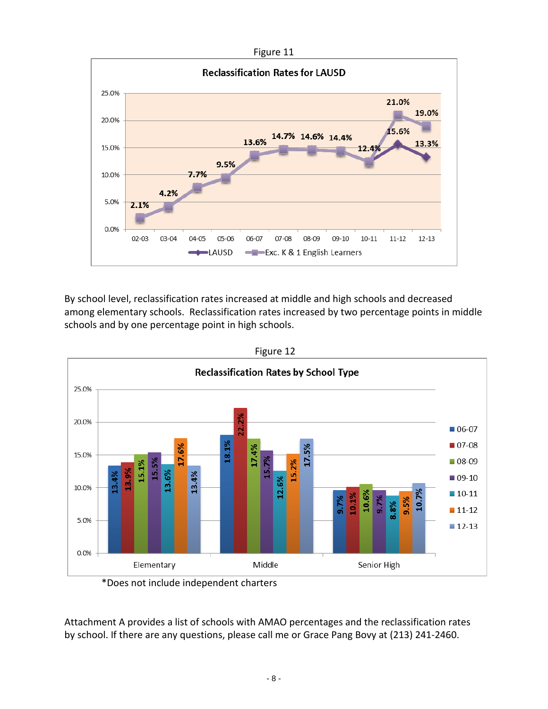



By school level, reclassification rates increased at middle and high schools and decreased among elementary schools. Reclassification rates increased by two percentage points in middle schools and by one percentage point in high schools.



Figure 12

\*Does not include independent charters

Attachment A provides a list of schools with AMAO percentages and the reclassification rates by school. If there are any questions, please call me or Grace Pang Bovy at (213) 241-2460.